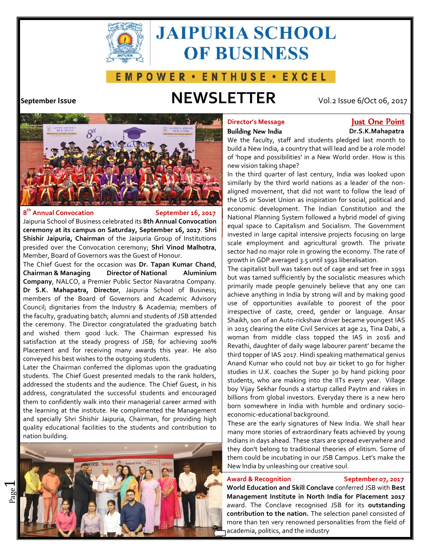

# **JAIPURIA SCHOOL OF BUSINESS**

## E M P O W E R · E N T H U S E · E X C E L

## **September Issue NEWSLETTER** Vol.2 Issue 6/Oct 06, 2017



### **8 th Annual Convocation September 16, 2017**

 $\overline{\phantom{0}}$ 

Jaipuria School of Business celebrated its **8th Annual Convocation ceremony at its campus on Saturday, September 16, 2017**. **Shri Shishir Jaipuria, Chairman** of the Jaipuria Group of Institutions presided over the Convocation ceremony; **Shri Vinod Malhotra**, Member, Board of Governors was the Guest of Honour.

The Chief Guest for the occasion was **Dr. Tapan Kumar Chand**, **Chairman & Managing Director of National Aluminium Company**, NALCO, a Premier Public Sector Navaratna Company. **Dr S.K. Mahapatra, Director**, Jaipuria School of Business; members of the Board of Governors and Academic Advisory Council; dignitaries from the Industry & Academia; members of the faculty, graduating batch; alumni and students of JSB attended the ceremony. The Director congratulated the graduating batch and wished them good luck. The Chairman expressed his satisfaction at the steady progress of JSB; for achieving 100% Placement and for receiving many awards this year. He also conveyed his best wishes to the outgoing students.

Later the Chairman conferred the diplomas upon the graduating students. The Chief Guest presented medals to the rank holders, addressed the students and the audience. The Chief Guest, in his address, congratulated the successful students and encouraged them to confidently walk into their managerial career armed with the learning at the institute. He complimented the Management and specially Shri Shishir Jaipuria, Chairman, for providing high quality educational facilities to the students and contribution to nation building.



# **Director's Message The Point Cone Point**

# **Building New India Dr.S.K.Mahapatra**

We the faculty, staff and students pledged last month to build a New India, a country that will lead and be a role model of 'hope and possibilities' in a New World order. How is this new vision taking shape?

In the third quarter of last century, India was looked upon similarly by the third world nations as a leader of the non aligned movement, that did not want to follow the lead of the US or Soviet Union as inspiration for social, political and economic development. The Indian Constitution and the National Planning System followed a hybrid model of giving equal space to Capitalism and Socialism. The Government invested in large capital intensive projects focusing on large scale employment and agricultural growth. The private sector had no major role in growing the economy. The rate of growth in GDP averaged 3.5 until 1991 liberalisation.

The capitalist bull was taken out of cage and set free in 1991 but was tamed sufficiently by the socialistic measures which primarily made people genuinely believe that any one can achieve anything in India by strong will and by making good use of opportunities available to poorest of the poor irrespective of caste, creed, gender or language. Ansar Shaikh, son of an Auto-rickshaw driver became youngest IAS in 2015 clearing the elite Civil Services at age 21, Tina Dabi, a woman from middle class topped the IAS in 2016 and Revathi, daughter of daily wage labourer parent' became the third topper of IAS 2017. Hindi speaking mathematical genius Anand Kumar who could not buy air ticket to go for higher studies in U.K. coaches the Super 30 by hand picking poor students, who are making into the IITs every year. Village boy Vijay Sekhar founds a startup called Paytm and rakes in billions from global investors. Everyday there is a new hero born somewhere in India with humble and ordinary socio economic-educational background.

These are the early signatures of New India. We shall hear many more stories of extraordinary feats achieved by young Indians in days ahead. These stars are spread everywhere and they don't belong to traditional theories of elitism. Some of them could be incubating in our JSB Campus. Let's make the New India by unleashing our creative soul.

### **Award & Recognition September 07, 2017**

**World Education and Skill Conclave** conferred JSB with **Best Management Institute in North India for Placement 2017** award. The Conclave recognised JSB for its **outstanding contribution to the nation.** The selection panel consisted of more than ten very renowned personalities from the field of academia, politics, and the industry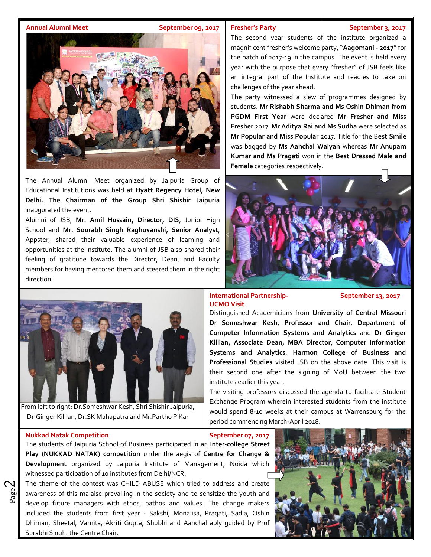### **Annual Alumni Meet September 09, 2017**

### **Fresher's Party September 3, 2017**

The second year students of the institute organized a magnificent fresher's welcome party, "**Aagomani - 2017**" for the batch of 2017-19 in the campus. The event is held every year with the purpose that every "fresher" of JSB feels like an integral part of the Institute and readies to take on

students. **Mr Rishabh Sharma and Ms Oshin Dhiman from**

The party witnessed a slew of programmes designed by  $\|$ 

**PGDM First Year** were declared **Mr Fresher and Miss Fresher** 2017. **Mr Aditya Rai and Ms Sudha** were selected as **Mr Popular and Miss Popular** 2017. Title for the B**est Smile**

**Mr Popular and Miss Popular** 2017. Title for the B**est Smile**<br>was bagged by **Ms Aanchal Walyan** whereas **Mr Anupam** 

**Rishabh Sharma and Ms Oshin Dhiman from**<br>**Year** were declared Mr Fresher and Miss<br>Mr Aditya Rai and Ms Sudha were selected as

**Kumar** and Ms Pragati won in the Best Dressed Male and<br>**Female** categories respectively.

challenges of the year ahead. challenges

**Female** categories respectively.



The Annual Alumni Meet organized by Jaipuria Group of Ginnie Channel Channel Channel Channel Channel Channel Ch Educational Institutions was held at **Hyatt Regency Hotel, New** Delhi. The Chairman of the Group Shri Shishir Jaipuria **Property for the Shishir Jaipuria**  $\mathbb{R}$   $\mathbb{R}$   $\mathbb{R}$  set  $\mathbb{R}$  senior executives and  $\mathbb{R}$ inaugurated the event.

Alumni of JSB, Mr. Amil Hussain, Director, DIS, Junior High **Alexander (1998)** respectively participated in the programme. School and **Mr. Sourabh Singh Raghuvanshi, Senior Analyst**,  $T_{\rm eff}$  required single conductions in the conductions in the conductions in the conductions of  $\sim$ R.P. Singh, Former HR Head, J K Cements Ltd and Dr S. K. Appster, shared their valuable experience of learning and opportunities at the institute. The alumni of JSB also shared their  $\frac{1}{2}$ feeling of gratitude towards the Director, Dean, and Faculty  $\frac{1}{2}$ members for having mentored them and steered them in the right  $\left\| \cdot \right\|$  as  $\left\| \cdot \right\|$  ,  $\left\| \cdot \right\|$ direction. The Annual Alumni Meet organized by Jaipuria Group of<br>Educational Institutions was held at Hyatt Regency Hotel, New<br>Delhi. The Chairman of the Group Shri Shishir Jaipuria<br>inaugurated the event.<br>Alumni of JSB, Mr. Amil Huss



From left to right: Dr.Someshwar Kesh, Shri Shishir Jaipuria, Dr.Ginger Killian, Dr.SK Mahapatra and Mr.Partho P Kar

Exchange Program wherein interested students from the institute would spend 8-10 weeks at their campus at Warrensburg for the period commencing March-April 2018.

### **Nukkad Natak Competition September 07, 2017**

 $\boldsymbol{\sim}$ 

The students of Jaipuria School of Business participated in an **Inter-college Street Play (NUKKAD NATAK) competition** under the aegis of **Centre for Change & Inter-college NATAK) Development** organized by Jaipuria Institute of Management, Noida which witnessed participation of 10 institutes from Delhi/NCR. Delhi/NCR.

awareness of this malaise prevailing in the society and to sensitize the youth and<br>develop future managers with ethos, pathos and values. The change makers The theme of the contest was CHILD ABUSE which tried to address and create develop future managers with ethos, pathos and values. The change makers included the students from first year - Sakshi, Monalisa, Pragati, Sadia, Oshin Dhiman, Sheetal, Varnita, Akriti Gupta, Shubhi and Aanchal ably guided by Prof Surabhi Singh, the Centre Chair.



**International Partnership- September 13, 2017 InternationalUCMO UCMO Visit** Distinguished Academicians from **University of Central Missouri** Distinguished**Dr Someshwar Kesh**, **Professor and Chair**, **Department of** Dr Someshwar Kesh, Professor and Chair, Department of **Computer Information Systems and Analytics** and Dr Ginger **Killian, Associate Dean, MBA Director**, **Computer Information Systems and Analytics**, **Harmon College of Business and Professional Studies** visited JSB on the above date. This visit is

their second one after the signing of MoU between the two institutes earlier this year. The visiting professors discussed the agenda to facilitate Student **Killian, Associate Dean, MBA Director, Computer Information**<br>**Systems and Analytics, Harmon College of Business and**<br>**Professional Studies** visited JSB on the above date. This visit is<br>their second one after the signing o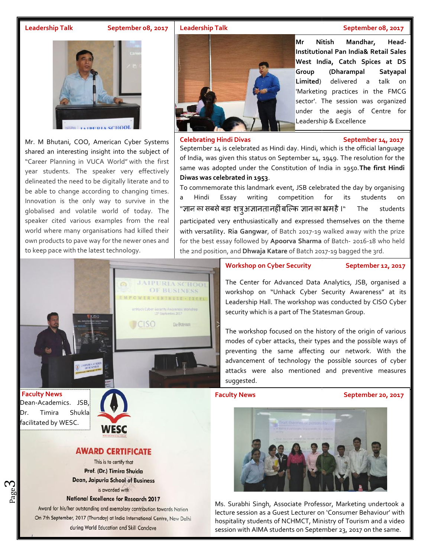### **Leadership Talk September 08, 2017**

Mr. M Bhutani, COO, American Cyber Systems shared an interesting insight into the subject of "Career Planning in VUCA World" with the first year students. The speaker very effectively delineated the need to be digitally literate and to be able to change according to changing times.  $\begin{bmatrix} 1 \\ 2 \end{bmatrix}$ Innovation is the only way to survive in the  $\begin{vmatrix} a & H \end{vmatrix}$  a Hindi globalised and volatile world of today. The speaker cited various examples from the real world where many organisations had killed their own products to pave way for the newer ones and to keep pace with the latest technology. **Example 19**<br> **Example 19**<br> **Example 19**<br> **Example 19**<br> **Example 19**<br> **Example 19**<br> **Example 19**<br> **Example 19**<br> **Example 19**<br> **Example 19**<br> **Example 19**<br> **Example 19**<br> **Example 19**<br> **Example 19**<br> **Example 19**<br> **Example 19** 



**Faculty News Faculty News** Dean-Academics. JSB, Dr. Timira Shukla

Page

ო





## **Mr Nitish Mandhar, Head-Institutional Pan India& Retail Sales West India, Catch Spices at DS Group (Dharampal Satyapal Limited**) delivered a talk on 'Marketing practices in the FMCG sector'. The session was organized under the aegis of Centre for **Pan India& Retail Sales<br>
<b>Pan India, Catch Spices at DS**<br> **Group (Dharampal Satyapal<br>
Limited**) delivered a talk on<br>
"Marketing practices in the FMCG<br>
sector". The session was organized<br>
under the aegis of Centre for<br>
Lea

Leadership & Excellence

### **Celebrating Hindi Divas September 14, 2017 Celebrating**

September 14 is celebrated as Hindi day. Hindi, which is the official language September 14 is celebrated as Hindi day. Hindi, which is the official language  $\parallel$ same was adopted under the Constitution of India in 1950. The first Hindi **Diwas was celebrated in 1953**. **Diwas celebrated in** 

To commemorate this landmark event, JSB celebrated the day by organising<br>a Hindi Essay writing competition for its students on Essay writing competition for its students on "ज्ञान का सबसे बड़ा शत्रू अज्ञानता नहीं बल्कि ज्ञान का भ्रम है ।" The students participated very enthusiastically and expressed themselves on the theme  $\blacksquare$ with versatility. **Ria Gangwar**, of Batch 2017-19 walked away with the prize for the best essay followed by **Apoorva Sharma** of Batch- 2016-18 who held the 2nd position, and **Dhwaja Katare** of Batch 2017-19 bagged the 3rd. "ज्ञान का सबसे बड़ा शत्रु अज्ञानता नहीं बल्कि ज्ञान का भ्रम है ।" The stud<br>participated very enthusiastically and expressed themselves on the th<br>with versatility. Ria Gangwar, of Batch 2017-19 walked away with the p<br>for t

## **The institute conduct on Cyber Security September 12, 2017**

The Center for Advanced Data Analytics, JSB, organised a workshop on "Unhack Cyber Security Awareness" at its Leadership Hall. The workshop was conducted by CISO Cyber security which is a part of The Statesman Group. The Center for Advanced Data Analytics, JSB, organised a<br>
workshop on "Unhack Cyber Security Awareness" at its<br>
Leadership Hall. The workshop was conducted by CISO Cyber<br>
security which is a part of The Statesman Group.<br>
T

The workshop focused on the history of the origin of various modes of cyber attacks, their types and the possible ways of preventing the same affecting our network. With the advancement of technology the possible sources of cyber advancement of technology the possible sources of cyber<br>attacks were also mentioned and preventive measures suggested.

### **Faculty News**

### **Faculty News September 20, 2017**



Ms. Surabhi Singh, Associate Professor, Marketing undertook a lecture session as a Guest Lecturer on 'Consumer Behaviour' with hospitality students of NCHMCT, Ministry of Tourism and a video lecture session as a Guest Lecturer on 'Consumer Behaviour' with<br>hospitality students of NCHMCT, Ministry of Tourism and a video<br>session with AIMA students on September 23, 2017 on the same.

### **Leadership Talk September 08, 2017**